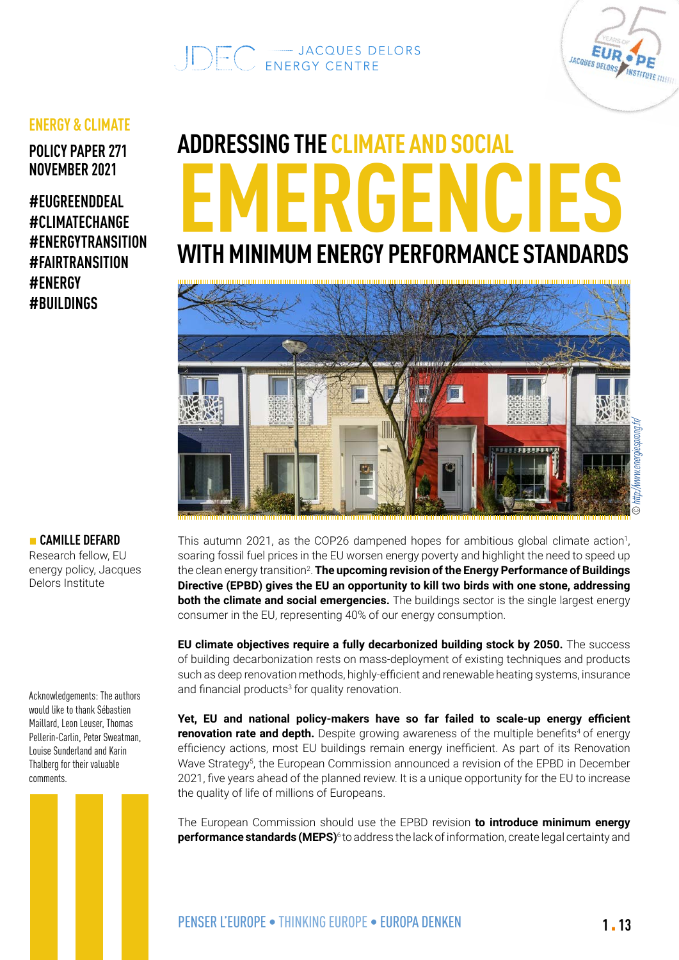# $\bigcirc \bigcirc \bigcirc \bigcirc = \bigcirc$  in the set of delors delors



### **ENERGY & CLIMATE**

**POLICY PAPER 271 NOVEMBER 2021**

**#EUGREENDDEAL #CLIMATECHANGE #ENERGYTRANSITION #FAIRTRANSITION #ENERGY #BUILDINGS**

# **ADDRESSING THE CLIMATE AND SOCIAL EMERGENCIES WITH MINIMUM ENERGY PERFORMANCE STANDARDS**



### This autumn 2021, as the COP26 dampened hopes for ambitious global climate action<sup>1</sup>, soaring fossil fuel prices in the EU worsen energy poverty and highlight the need to speed up the clean energy transition<sup>2</sup>. **The upcoming revision of the Energy Performance of Buildings Directive (EPBD) gives the EU an opportunity to kill two birds with one stone, addressing both the climate and social emergencies.** The buildings sector is the single largest energy consumer in the EU, representing 40% of our energy consumption.

**EU climate objectives require a fully decarbonized building stock by 2050.** The success of building decarbonization rests on mass-deployment of existing techniques and products such as deep renovation methods, highly-efficient and renewable heating systems, insurance and financial products<sup>3</sup> for quality renovation.

**Yet, EU and national policy-makers have so far failed to scale-up energy efficient renovation rate and depth.** Despite growing awareness of the multiple benefits<sup>4</sup> of energy efficiency actions, most EU buildings remain energy inefficient. As part of its Renovation Wave Strategy<sup>5</sup>, the European Commission announced a revision of the EPBD in December 2021, five years ahead of the planned review. It is a unique opportunity for the EU to increase the quality of life of millions of Europeans.

The European Commission should use the EPBD revision **to introduce minimum energy performance standards (MEPS)**<sup>6</sup> to address the lack of information, create legal certainty and

### **■ CAMILLE DEFARD**

Research fellow, EU energy policy, Jacques Delors Institute

Acknowledgements: The authors would like to thank Sébastien Maillard, Leon Leuser, Thomas Pellerin-Carlin, Peter Sweatman, Louise Sunderland and Karin Thalberg for their valuable comments.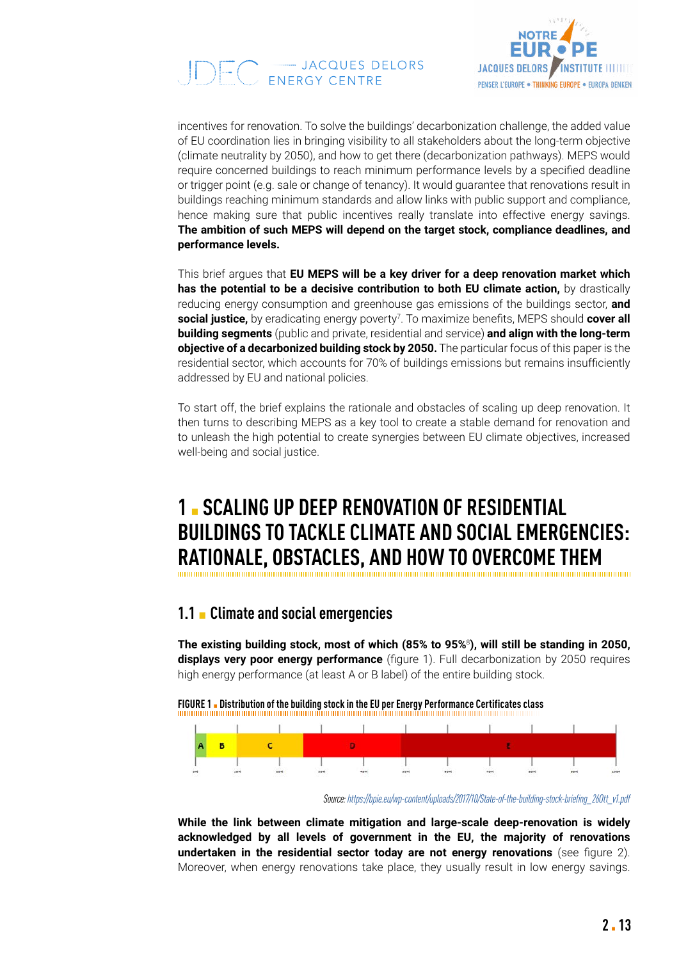



incentives for renovation. To solve the buildings' decarbonization challenge, the added value of EU coordination lies in bringing visibility to all stakeholders about the long-term objective (climate neutrality by 2050), and how to get there (decarbonization pathways). MEPS would require concerned buildings to reach minimum performance levels by a specified deadline or trigger point (e.g. sale or change of tenancy). It would guarantee that renovations result in buildings reaching minimum standards and allow links with public support and compliance, hence making sure that public incentives really translate into effective energy savings. **The ambition of such MEPS will depend on the target stock, compliance deadlines, and performance levels.**

This brief argues that **EU MEPS will be a key driver for a deep renovation market which**  has the potential to be a decisive contribution to both EU climate action, by drastically reducing energy consumption and greenhouse gas emissions of the buildings sector, **and social justice,** by eradicating energy poverty7 . To maximize benefits, MEPS should **cover all building segments** (public and private, residential and service) **and align with the long-term objective of a decarbonized building stock by 2050.** The particular focus of this paper is the residential sector, which accounts for 70% of buildings emissions but remains insufficiently addressed by EU and national policies.

To start off, the brief explains the rationale and obstacles of scaling up deep renovation. It then turns to describing MEPS as a key tool to create a stable demand for renovation and to unleash the high potential to create synergies between EU climate objectives, increased well-being and social justice.

## **1** ▪ **SCALING UP DEEP RENOVATION OF RESIDENTIAL BUILDINGS TO TACKLE CLIMATE AND SOCIAL EMERGENCIES: RATIONALE, OBSTACLES, AND HOW TO OVERCOME THEM**

### **1.1** ▪ **Climate and social emergencies**

**The existing building stock, most of which (85% to 95%**<sup>8</sup> **), will still be standing in 2050, displays very poor energy performance** (figure 1). Full decarbonization by 2050 requires high energy performance (at least A or B label) of the entire building stock.

**FIGURE 1 . Distribution of the building stock in the EU per Energy Performance Certificates class** 



*Source: [https://bpie.eu/wp-content/uploads/2017/10/State-of-the-building-stock-briefing\\_26Ott\\_v1.pdf](https://bpie.eu/wp-content/uploads/2017/10/State-of-the-building-stock-briefing_26Ott_v1.pdf)* 

**While the link between climate mitigation and large-scale deep-renovation is widely acknowledged by all levels of government in the EU, the majority of renovations undertaken in the residential sector today are not energy renovations** (see figure 2). Moreover, when energy renovations take place, they usually result in low energy savings.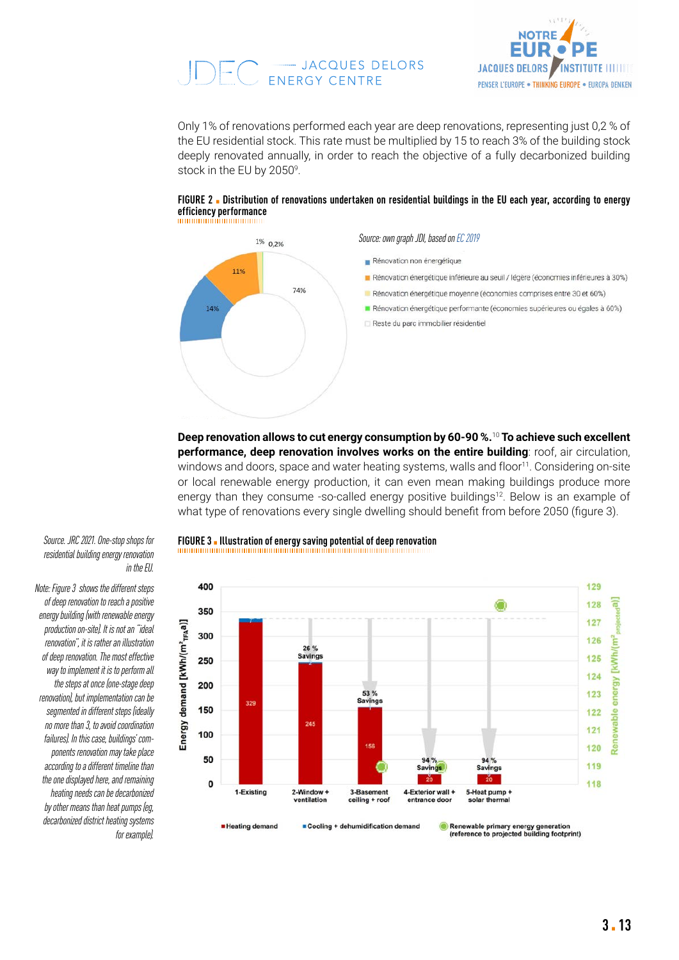# $\bigcup_{i} \bigcup_{i} \bigcap_{i} \bigcap_{i} \bigcap_{i} \bigcap_{i} \bigcap_{i} \bigcap_{i} \bigcap_{i} \bigcap_{i} \bigcap_{i} \bigcap_{i} \bigcap_{i} \bigcap_{i} \bigcap_{i} \bigcap_{i} \bigcap_{i} \bigcap_{i} \bigcap_{i} \bigcap_{i} \bigcap_{i} \bigcap_{i} \bigcap_{i} \bigcap_{i} \bigcap_{i} \bigcap_{i} \bigcap_{i} \bigcap_{i} \bigcap_{i} \bigcap_{i} \bigcap_{i} \bigcap_{i} \bigcap_{i} \bigcap_{i} \bigcap_{i} \bigcap_{i} \bigcap_{$



Only 1% of renovations performed each year are deep renovations, representing just 0,2 % of the EU residential stock. This rate must be multiplied by 15 to reach 3% of the building stock deeply renovated annually, in order to reach the objective of a fully decarbonized building stock in the EU by 2050<sup>9</sup>.



**FIGURE 2** ▪ **Distribution of renovations undertaken on residential buildings in the EU each year, according to energy efficiency performance** 

**Deep renovation allows to cut energy consumption by 60-90 %.**<sup>10</sup> **To achieve such excellent performance, deep renovation involves works on the entire building**: roof, air circulation, windows and doors, space and water heating systems, walls and floor<sup>11</sup>. Considering on-site or local renewable energy production, it can even mean making buildings produce more energy than they consume -so-called energy positive buildings<sup>12</sup>. Below is an example of what type of renovations every single dwelling should benefit from before 2050 (figure 3).



*Note: Figure 3 shows the different steps of deep renovation to reach a positive energy building (with renewable energy production on-site). It is not an "ideal renovation", it is rather an illustration of deep renovation. The most effective way to implement it is to perform all the steps at once (one-stage deep renovation), but implementation can be segmented in different steps (ideally no more than 3, to avoid coordination failures). In this case, buildings' components renovation may take place according to a different timeline than the one displayed here, and remaining heating needs can be decarbonized by other means than heat pumps (eg, decarbonized district heating systems for example).*

#### *Source. JRC 2021. One-stop shops for* **FIGURE 3** ▪ **Illustration of energy saving potential of deep renovation**

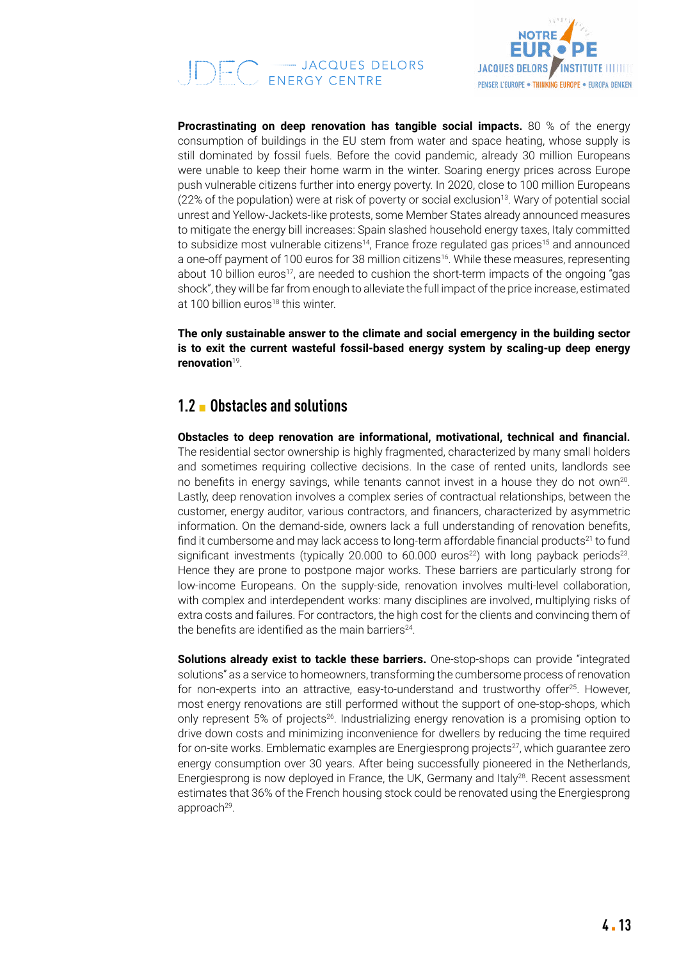# $\bigcirc$   $\bigcirc$   $\bigcirc$  - Jacques Delors



**Procrastinating on deep renovation has tangible social impacts.** 80 % of the energy consumption of buildings in the EU stem from water and space heating, whose supply is still dominated by fossil fuels. Before the covid pandemic, already 30 million Europeans were unable to keep their home warm in the winter. Soaring energy prices across Europe push vulnerable citizens further into energy poverty. In 2020, close to 100 million Europeans  $(22\%$  of the population) were at risk of poverty or social exclusion<sup>13</sup>. Wary of potential social unrest and Yellow-Jackets-like protests, some Member States already announced measures to mitigate the energy bill increases: Spain slashed household energy taxes, Italy committed to subsidize most vulnerable citizens<sup>14</sup>, France froze regulated gas prices<sup>15</sup> and announced a one-off payment of 100 euros for 38 million citizens<sup>16</sup>. While these measures, representing about 10 billion euros<sup>17</sup>, are needed to cushion the short-term impacts of the ongoing "gas shock", they will be far from enough to alleviate the full impact of the price increase, estimated at 100 billion euros<sup>18</sup> this winter.

**The only sustainable answer to the climate and social emergency in the building sector is to exit the current wasteful fossil-based energy system by scaling-up deep energy renovation**19.

### **1.2** ▪ **Obstacles and solutions**

**Obstacles to deep renovation are informational, motivational, technical and financial.**  The residential sector ownership is highly fragmented, characterized by many small holders and sometimes requiring collective decisions. In the case of rented units, landlords see no benefits in energy savings, while tenants cannot invest in a house they do not own<sup>20</sup>. Lastly, deep renovation involves a complex series of contractual relationships, between the customer, energy auditor, various contractors, and financers, characterized by asymmetric information. On the demand-side, owners lack a full understanding of renovation benefits, find it cumbersome and may lack access to long-term affordable financial products<sup>21</sup> to fund significant investments (typically 20.000 to 60.000 euros<sup>22</sup>) with long payback periods<sup>23</sup>. Hence they are prone to postpone major works. These barriers are particularly strong for low-income Europeans. On the supply-side, renovation involves multi-level collaboration, with complex and interdependent works: many disciplines are involved, multiplying risks of extra costs and failures. For contractors, the high cost for the clients and convincing them of the benefits are identified as the main barriers<sup>24</sup>.

**Solutions already exist to tackle these barriers.** One-stop-shops can provide "integrated solutions" as a service to homeowners, transforming the cumbersome process of renovation for non-experts into an attractive, easy-to-understand and trustworthy offer<sup>25</sup>. However, most energy renovations are still performed without the support of one-stop-shops, which only represent 5% of projects26. Industrializing energy renovation is a promising option to drive down costs and minimizing inconvenience for dwellers by reducing the time required for on-site works. Emblematic examples are Energiesprong projects<sup>27</sup>, which guarantee zero energy consumption over 30 years. After being successfully pioneered in the Netherlands, Energiesprong is now deployed in France, the UK, Germany and Italy<sup>28</sup>. Recent assessment estimates that 36% of the French housing stock could be renovated using the Energiesprong approach<sup>29</sup>.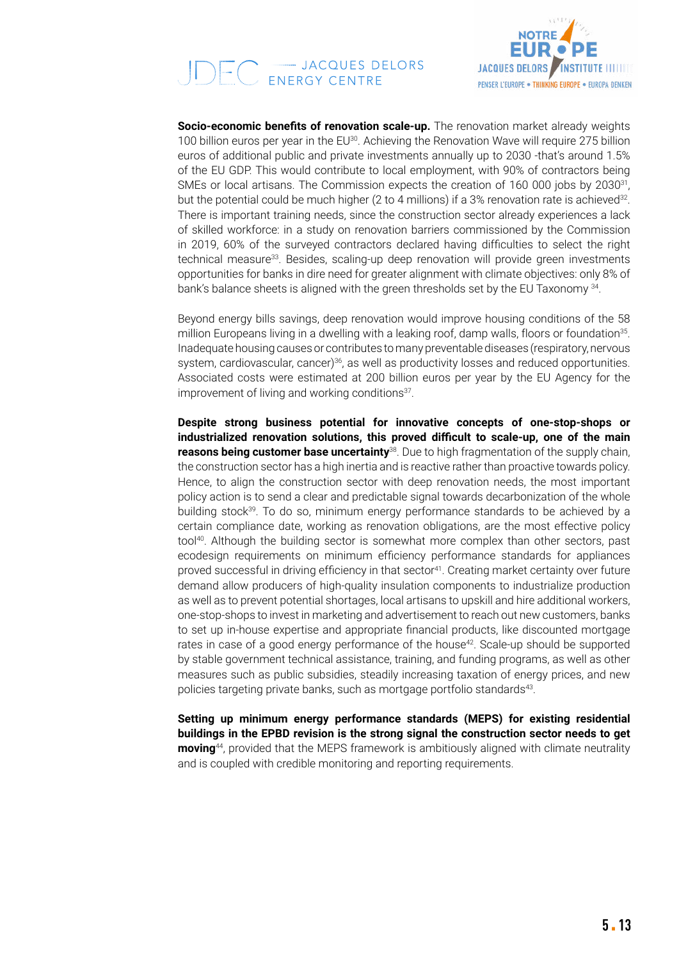# $\bigcup \underbrace{\fbox{--}\fbox{--}\fbox{JACQUES DELORS}}_{\text{ENERGY CENTRE}}$



**Socio-economic benefits of renovation scale-up.** The renovation market already weights 100 billion euros per year in the EU<sup>30</sup>. Achieving the Renovation Wave will require 275 billion euros of additional public and private investments annually up to 2030 -that's around 1.5% of the EU GDP. This would contribute to local employment, with 90% of contractors being SMEs or local artisans. The Commission expects the creation of 160 000 jobs by 2030<sup>31</sup>. but the potential could be much higher (2 to 4 millions) if a 3% renovation rate is achieved<sup>32</sup>. There is important training needs, since the construction sector already experiences a lack of skilled workforce: in a study on renovation barriers commissioned by the Commission in 2019, 60% of the surveyed contractors declared having difficulties to select the right technical measure<sup>33</sup>. Besides, scaling-up deep renovation will provide green investments opportunities for banks in dire need for greater alignment with climate objectives: only 8% of bank's balance sheets is aligned with the green thresholds set by the EU Taxonomy 34.

Beyond energy bills savings, deep renovation would improve housing conditions of the 58 million Europeans living in a dwelling with a leaking roof, damp walls, floors or foundation<sup>35</sup>. Inadequate housing causes or contributes to many preventable diseases (respiratory, nervous system, cardiovascular, cancer)<sup>36</sup>, as well as productivity losses and reduced opportunities. Associated costs were estimated at 200 billion euros per year by the EU Agency for the improvement of living and working conditions<sup>37</sup>.

**Despite strong business potential for innovative concepts of one-stop-shops or industrialized renovation solutions, this proved difficult to scale-up, one of the main reasons being customer base uncertainty**<sup>38</sup>. Due to high fragmentation of the supply chain, the construction sector has a high inertia and is reactive rather than proactive towards policy. Hence, to align the construction sector with deep renovation needs, the most important policy action is to send a clear and predictable signal towards decarbonization of the whole building stock39. To do so, minimum energy performance standards to be achieved by a certain compliance date, working as renovation obligations, are the most effective policy tool<sup>40</sup>. Although the building sector is somewhat more complex than other sectors, past ecodesign requirements on minimum efficiency performance standards for appliances proved successful in driving efficiency in that sector<sup>41</sup>. Creating market certainty over future demand allow producers of high-quality insulation components to industrialize production as well as to prevent potential shortages, local artisans to upskill and hire additional workers, one-stop-shops to invest in marketing and advertisement to reach out new customers, banks to set up in-house expertise and appropriate financial products, like discounted mortgage rates in case of a good energy performance of the house<sup>42</sup>. Scale-up should be supported by stable government technical assistance, training, and funding programs, as well as other measures such as public subsidies, steadily increasing taxation of energy prices, and new policies targeting private banks, such as mortgage portfolio standards<sup>43</sup>.

**Setting up minimum energy performance standards (MEPS) for existing residential buildings in the EPBD revision is the strong signal the construction sector needs to get moving**44, provided that the MEPS framework is ambitiously aligned with climate neutrality and is coupled with credible monitoring and reporting requirements.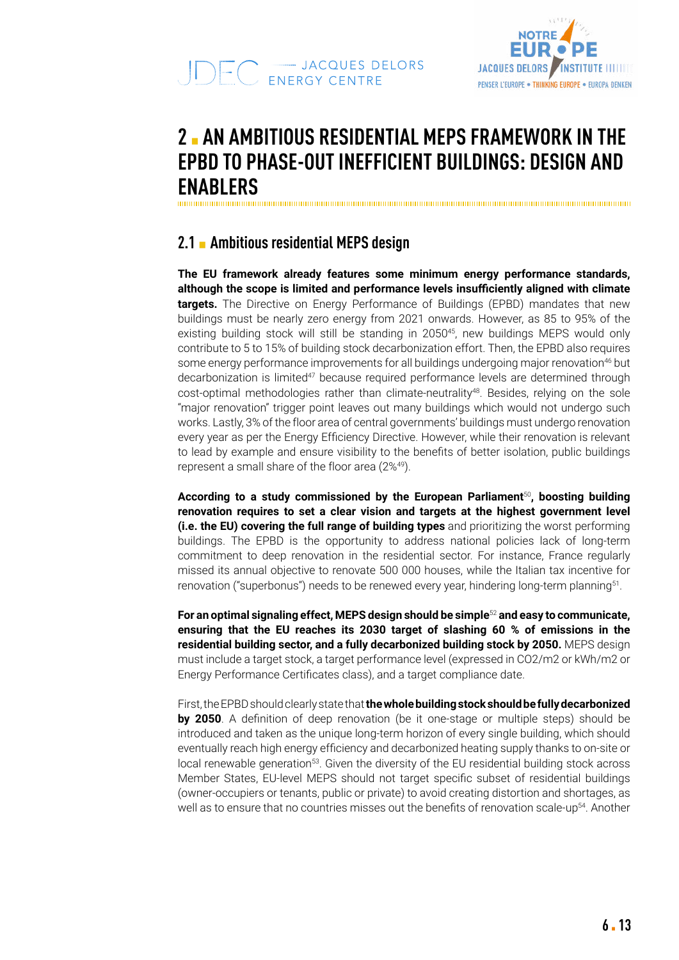



## **2** ▪ **AN AMBITIOUS RESIDENTIAL MEPS FRAMEWORK IN THE EPBD TO PHASE-OUT INEFFICIENT BUILDINGS: DESIGN AND ENABLERS**

## **2.1** ▪ **Ambitious residential MEPS design**

**The EU framework already features some minimum energy performance standards, although the scope is limited and performance levels insufficiently aligned with climate targets.** The Directive on Energy Performance of Buildings (EPBD) mandates that new buildings must be nearly zero energy from 2021 onwards. However, as 85 to 95% of the existing building stock will still be standing in 2050<sup>45</sup>, new buildings MEPS would only contribute to 5 to 15% of building stock decarbonization effort. Then, the EPBD also requires some energy performance improvements for all buildings undergoing major renovation<sup>46</sup> but decarbonization is limited<sup>47</sup> because required performance levels are determined through cost-optimal methodologies rather than climate-neutrality<sup>48</sup>. Besides, relying on the sole "major renovation" trigger point leaves out many buildings which would not undergo such works. Lastly, 3% of the floor area of central governments' buildings must undergo renovation every year as per the Energy Efficiency Directive. However, while their renovation is relevant to lead by example and ensure visibility to the benefits of better isolation, public buildings represent a small share of the floor area (2%49).

**According to a study commissioned by the European Parliament**<sup>50</sup>**, boosting building renovation requires to set a clear vision and targets at the highest government level (i.e. the EU) covering the full range of building types** and prioritizing the worst performing buildings. The EPBD is the opportunity to address national policies lack of long-term commitment to deep renovation in the residential sector. For instance, France regularly missed its annual objective to renovate 500 000 houses, while the Italian tax incentive for renovation ("superbonus") needs to be renewed every year, hindering long-term planning<sup>51</sup>.

**For an optimal signaling effect, MEPS design should be simple**<sup>52</sup> **and easy to communicate, ensuring that the EU reaches its 2030 target of slashing 60 % of emissions in the residential building sector, and a fully decarbonized building stock by 2050.** MEPS design must include a target stock, a target performance level (expressed in CO2/m2 or kWh/m2 or Energy Performance Certificates class), and a target compliance date.

First, the EPBD should clearly state that **the whole building stock should be fully decarbonized by 2050**. A definition of deep renovation (be it one-stage or multiple steps) should be introduced and taken as the unique long-term horizon of every single building, which should eventually reach high energy efficiency and decarbonized heating supply thanks to on-site or local renewable generation<sup>53</sup>. Given the diversity of the EU residential building stock across Member States, EU-level MEPS should not target specific subset of residential buildings (owner-occupiers or tenants, public or private) to avoid creating distortion and shortages, as well as to ensure that no countries misses out the benefits of renovation scale-up<sup>54</sup>. Another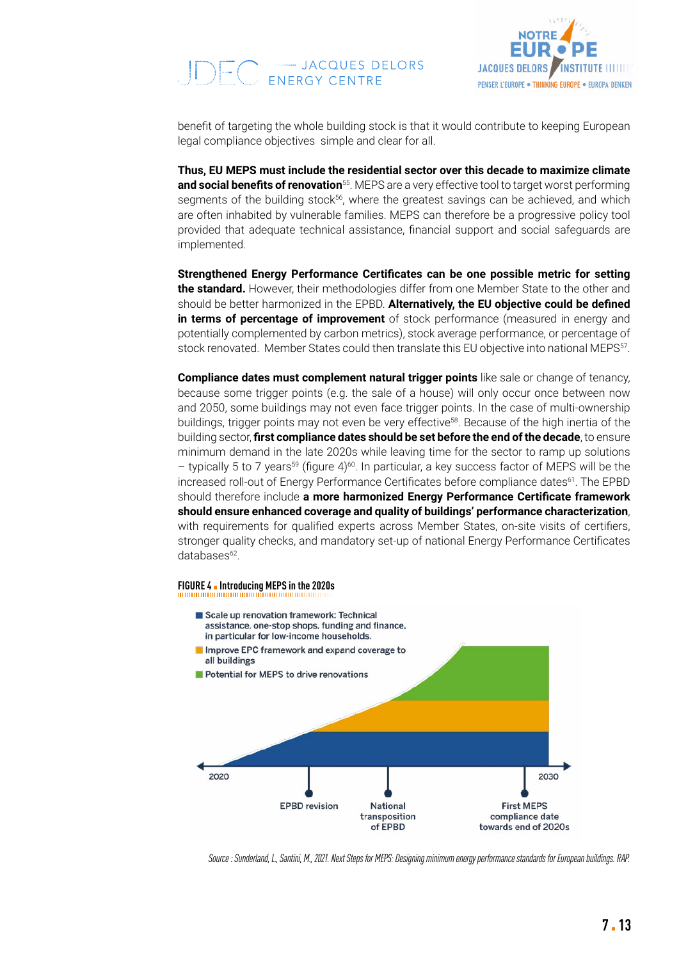# -- JACQUES DELORS<br>ENERGY CENTRE



benefit of targeting the whole building stock is that it would contribute to keeping European legal compliance objectives simple and clear for all.

**Thus, EU MEPS must include the residential sector over this decade to maximize climate and social benefits of renovation**<sup>55</sup>. MEPS are a very effective tool to target worst performing segments of the building stock<sup>56</sup>, where the greatest savings can be achieved, and which are often inhabited by vulnerable families. MEPS can therefore be a progressive policy tool provided that adequate technical assistance, financial support and social safeguards are implemented.  $\mathbf{b}$  is only required interests.  $\mathbf{b}$  is only required at sale or  $\mathbf{b}$  is only required at sale or  $\mathbf{b}$  is only required at sale or  $\mathbf{b}$  is only required at sale or  $\mathbf{b}$  is only required at sale or rent of individual units, the opportunity is lost to promote collaboration of all unit

Strengthened Energy Performance Certificates can be one possible metric for setting **the standard.** However, their methodologies differ from one Member State to the other and should be better harmonized in the EPBD. **Alternatively, the EU objective could be defined** in terms of percentage of improvement of stock performance (measured in energy and potentially complemented by carbon metrics), stock average performance, or percentage of stock renovated. Member States could then translate this EU objective into national MEPS<sup>57</sup>.

**Compliance dates must complement natural trigger points** like sale or change of tenancy, because some trigger points (e.g. the sale of a house) will only occur once between now and 2050, some buildings may not even face trigger points. In the case of multi-ownership buildings, trigger points may not even be very effective<sup>58</sup>. Because of the high inertia of the building sector, **first compliance dates should be set before the end of the decade**, to ensure minimum demand in the late 2020s while leaving time for the sector to ramp up solutions - typically 5 to 7 years<sup>59</sup> (figure 4)<sup>60</sup>. In particular, a key success factor of MEPS will be the increased roll-out of Energy Performance Certificates before compliance dates<sup>61</sup>. The EPBD should therefore include a more harmonized Energy Performance Certificate framework **should ensure enhanced coverage and quality of buildings' performance characterization**, **Key conclusions on trigger point and compliance**: A European framework of with requirements for qualified experts across Member States, on-site visits of certifiers, stronger quality checks, and mandatory set-up of national Energy Performance Certificates databases<sup>62</sup>.

### **FIGURE 4** ▪ **Introducing MEPS in the 2020s Figure 10. Laying the foundations for the introduction of MEPS in the 2020s**



*Source : Sunderland, L., Santini, M., 2021. Next Steps for MEPS: Designing minimum energy performance standards for European buildings. RAP.*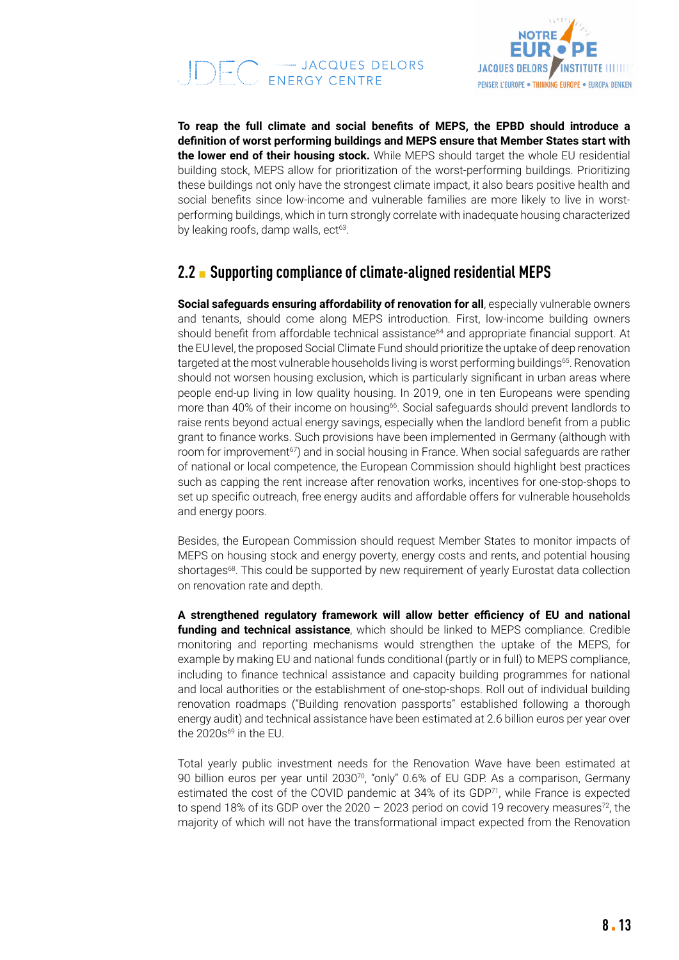



**To reap the full climate and social benefits of MEPS, the EPBD should introduce a definition of worst performing buildings and MEPS ensure that Member States start with the lower end of their housing stock.** While MEPS should target the whole EU residential building stock, MEPS allow for prioritization of the worst-performing buildings. Prioritizing these buildings not only have the strongest climate impact, it also bears positive health and social benefits since low-income and vulnerable families are more likely to live in worstperforming buildings, which in turn strongly correlate with inadequate housing characterized by leaking roofs, damp walls, ect<sup>63</sup>.

## **2.2** ▪ **Supporting compliance of climate-aligned residential MEPS**

**Social safeguards ensuring affordability of renovation for all, especially vulnerable owners** and tenants, should come along MEPS introduction. First, low-income building owners should benefit from affordable technical assistance<sup>64</sup> and appropriate financial support. At the EU level, the proposed Social Climate Fund should prioritize the uptake of deep renovation targeted at the most vulnerable households living is worst performing buildings<sup>65</sup>. Renovation should not worsen housing exclusion, which is particularly significant in urban areas where people end-up living in low quality housing. In 2019, one in ten Europeans were spending more than 40% of their income on housing<sup>66</sup>. Social safeguards should prevent landlords to raise rents beyond actual energy savings, especially when the landlord benefit from a public grant to finance works. Such provisions have been implemented in Germany (although with room for improvement<sup>67</sup>) and in social housing in France. When social safeguards are rather of national or local competence, the European Commission should highlight best practices such as capping the rent increase after renovation works, incentives for one-stop-shops to set up specific outreach, free energy audits and affordable offers for vulnerable households and energy poors.

Besides, the European Commission should request Member States to monitor impacts of MEPS on housing stock and energy poverty, energy costs and rents, and potential housing shortages<sup>68</sup>. This could be supported by new requirement of yearly Eurostat data collection on renovation rate and depth.

**A strengthened regulatory framework will allow better efficiency of EU and national funding and technical assistance**, which should be linked to MEPS compliance. Credible monitoring and reporting mechanisms would strengthen the uptake of the MEPS, for example by making EU and national funds conditional (partly or in full) to MEPS compliance, including to finance technical assistance and capacity building programmes for national and local authorities or the establishment of one-stop-shops. Roll out of individual building renovation roadmaps ("Building renovation passports" established following a thorough energy audit) and technical assistance have been estimated at 2.6 billion euros per year over the  $2020s^{69}$  in the EU.

Total yearly public investment needs for the Renovation Wave have been estimated at 90 billion euros per year until 2030<sup>70</sup>, "only" 0.6% of EU GDP. As a comparison, Germany estimated the cost of the COVID pandemic at  $34\%$  of its GDP $^{71}$ , while France is expected to spend 18% of its GDP over the 2020 – 2023 period on covid 19 recovery measures<sup>72</sup>, the majority of which will not have the transformational impact expected from the Renovation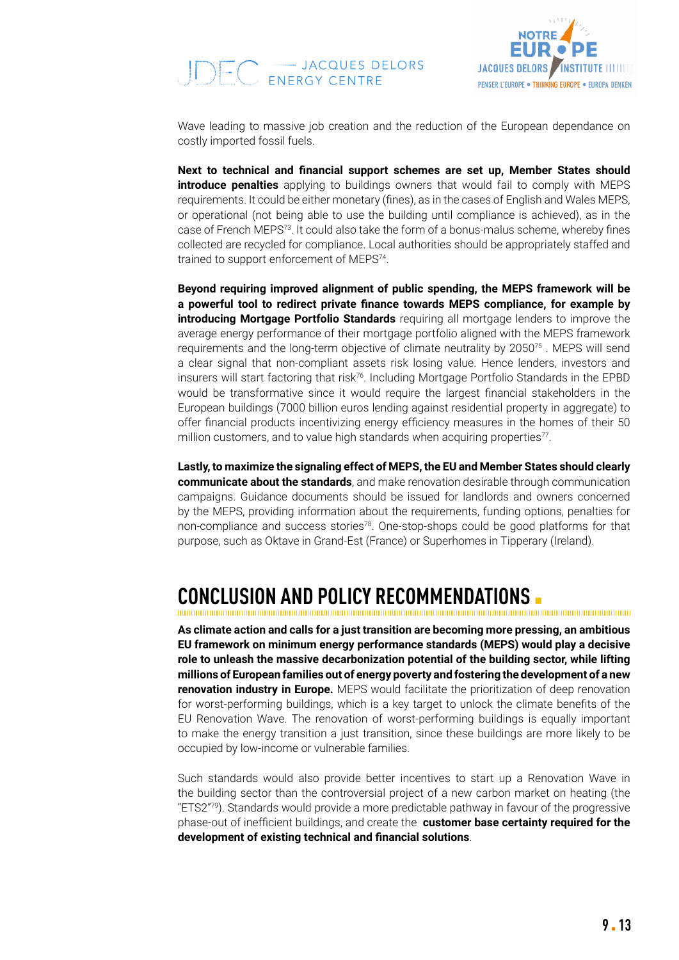



Wave leading to massive job creation and the reduction of the European dependance on costly imported fossil fuels.

**Next to technical and financial support schemes are set up, Member States should introduce penalties** applying to buildings owners that would fail to comply with MEPS requirements. It could be either monetary (fines), as in the cases of English and Wales MEPS, or operational (not being able to use the building until compliance is achieved), as in the case of French MEPS<sup>73</sup>. It could also take the form of a bonus-malus scheme, whereby fines collected are recycled for compliance. Local authorities should be appropriately staffed and trained to support enforcement of MEPS<sup>74</sup>.

**Beyond requiring improved alignment of public spending, the MEPS framework will be a powerful tool to redirect private finance towards MEPS compliance, for example by introducing Mortgage Portfolio Standards** requiring all mortgage lenders to improve the average energy performance of their mortgage portfolio aligned with the MEPS framework requirements and the long-term objective of climate neutrality by 2050<sup>75</sup>. MEPS will send a clear signal that non-compliant assets risk losing value. Hence lenders, investors and insurers will start factoring that risk76. Including Mortgage Portfolio Standards in the EPBD would be transformative since it would require the largest financial stakeholders in the European buildings (7000 billion euros lending against residential property in aggregate) to offer financial products incentivizing energy efficiency measures in the homes of their 50 million customers, and to value high standards when acquiring properties<sup>77</sup>.

**Lastly, to maximize the signaling effect of MEPS, the EU and Member States should clearly communicate about the standards**, and make renovation desirable through communication campaigns. Guidance documents should be issued for landlords and owners concerned by the MEPS, providing information about the requirements, funding options, penalties for non-compliance and success stories<sup>78</sup>. One-stop-shops could be good platforms for that purpose, such as Oktave in Grand-Est (France) or Superhomes in Tipperary (Ireland).

## **CONCLUSION AND POLICY RECOMMENDATIONS** ▪

**As climate action and calls for a just transition are becoming more pressing, an ambitious EU framework on minimum energy performance standards (MEPS) would play a decisive role to unleash the massive decarbonization potential of the building sector, while lifting millions of European families out of energy poverty and fostering the development of a new renovation industry in Europe.** MEPS would facilitate the prioritization of deep renovation for worst-performing buildings, which is a key target to unlock the climate benefits of the EU Renovation Wave. The renovation of worst-performing buildings is equally important to make the energy transition a just transition, since these buildings are more likely to be occupied by low-income or vulnerable families.

Such standards would also provide better incentives to start up a Renovation Wave in the building sector than the controversial project of a new carbon market on heating (the "ETS2"79). Standards would provide a more predictable pathway in favour of the progressive phase-out of inefficient buildings, and create the **customer base certainty required for the development of existing technical and financial solutions**.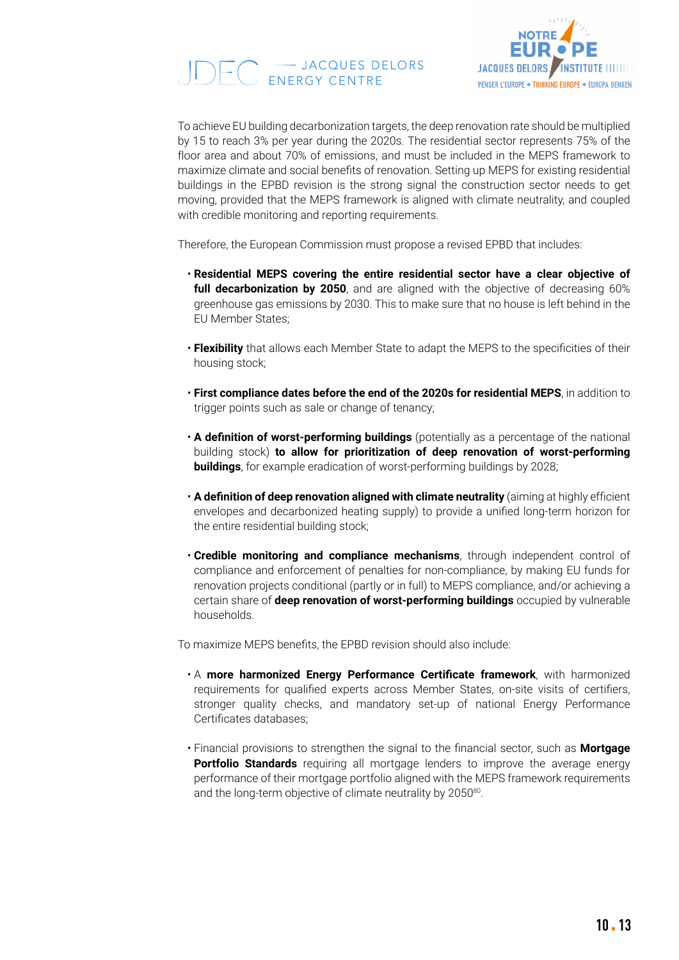



To achieve EU building decarbonization targets, the deep renovation rate should be multiplied by 15 to reach 3% per year during the 2020s. The residential sector represents 75% of the floor area and about 70% of emissions, and must be included in the MEPS framework to maximize climate and social benefits of renovation. Setting up MEPS for existing residential buildings in the EPBD revision is the strong signal the construction sector needs to get moving, provided that the MEPS framework is aligned with climate neutrality, and coupled with credible monitoring and reporting requirements.

Therefore, the European Commission must propose a revised EPBD that includes:

- **Residential MEPS covering the entire residential sector have a clear objective of full decarbonization by 2050**, and are aligned with the objective of decreasing 60% greenhouse gas emissions by 2030. This to make sure that no house is left behind in the EU Member States;
- **Flexibility** that allows each Member State to adapt the MEPS to the specificities of their housing stock;
- **First compliance dates before the end of the 2020s for residential MEPS**, in addition to trigger points such as sale or change of tenancy;
- **A definition of worst-performing buildings** (potentially as a percentage of the national building stock) **to allow for prioritization of deep renovation of worst-performing buildings**, for example eradication of worst-performing buildings by 2028;
- **A definition of deep renovation aligned with climate neutrality** (aiming at highly efficient envelopes and decarbonized heating supply) to provide a unified long-term horizon for the entire residential building stock;
- **Credible monitoring and compliance mechanisms**, through independent control of compliance and enforcement of penalties for non-compliance, by making EU funds for renovation projects conditional (partly or in full) to MEPS compliance, and/or achieving a certain share of **deep renovation of worst-performing buildings** occupied by vulnerable households.

To maximize MEPS benefits, the EPBD revision should also include:

- A **more harmonized Energy Performance Certificate framework**, with harmonized requirements for qualified experts across Member States, on-site visits of certifiers, stronger quality checks, and mandatory set-up of national Energy Performance Certificates databases;
- Financial provisions to strengthen the signal to the financial sector, such as **Mortgage Portfolio Standards** requiring all mortgage lenders to improve the average energy performance of their mortgage portfolio aligned with the MEPS framework requirements and the long-term objective of climate neutrality by 2050<sup>80</sup>.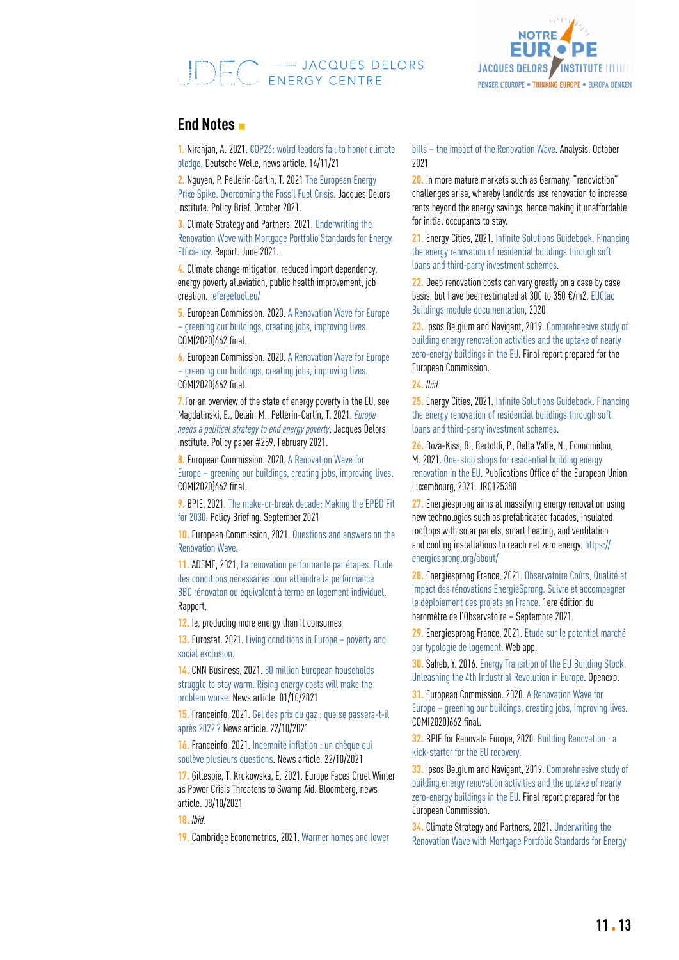# 



### **End Notes** ▪

**1.** Niranjan, A. 2021. [COP26: wolrd leaders fail to honor climate](https://www.dw.com/en/cop26-world-leaders-fail-to-honor-climate-pledge/a-59812348)  [pledge.](https://www.dw.com/en/cop26-world-leaders-fail-to-honor-climate-pledge/a-59812348) Deutsche Welle, news article. 14/11/21

**2.** Nguyen, P. Pellerin-Carlin, T. 2021 [The European Energy](https://institutdelors.eu/en/publications/flambee-des-prix-de-lenergie-en-europe/)  [Prixe Spike. Overcoming the Fossil Fuel Crisis.](https://institutdelors.eu/en/publications/flambee-des-prix-de-lenergie-en-europe/) Jacques Delors Institute. Policy Brief. October 2021.

**3.** Climate Strategy and Partners, 2021. [Underwriting the](https://www.climatestrategy.es/press/EPBD_MPS_Embargo_June2021.pdf)  [Renovation Wave with Mortgage Portfolio Standards for Energy](https://www.climatestrategy.es/press/EPBD_MPS_Embargo_June2021.pdf)  [Efficiency](https://www.climatestrategy.es/press/EPBD_MPS_Embargo_June2021.pdf). Report. June 2021.

**4.** Climate change mitigation, reduced import dependency, energy poverty alleviation, public health improvement, job creation. refereetool.eu/

**5.** European Commission. 2020. [A Renovation Wave for Europe](https://eur-lex.europa.eu/legal-content/EN/TXT/?qid=1603122220757&uri=CELEX:52020DC0662)  [– greening our buildings, creating jobs, improving lives.](https://eur-lex.europa.eu/legal-content/EN/TXT/?qid=1603122220757&uri=CELEX:52020DC0662) COM(2020)662 final.

**6.** European Commission. 2020. [A Renovation Wave for Europe](https://eur-lex.europa.eu/legal-content/EN/TXT/?qid=1603122220757&uri=CELEX:52020DC0662)  [– greening our buildings, creating jobs, improving lives.](https://eur-lex.europa.eu/legal-content/EN/TXT/?qid=1603122220757&uri=CELEX:52020DC0662) COM(2020)662 final.

**7.**For an overview of the state of energy poverty in the EU, see Magdalinski, E., Delair, M., Pellerin-Carlin, T. 2021. *Europe needs a political strategy to end energy poverty*. Jacques Delors Institute. Policy paper #259. February 2021.

**8.** European Commission. 2020. [A Renovation Wave for](https://eur-lex.europa.eu/legal-content/EN/TXT/?qid=1603122220757&uri=CELEX:52020DC0662)  [Europe – greening our buildings, creating jobs, improving lives](https://eur-lex.europa.eu/legal-content/EN/TXT/?qid=1603122220757&uri=CELEX:52020DC0662). COM(2020)662 final.

**9.** BPIE, 2021. T[he make-or-break decade: Making the EPBD Fit](https://www.bpie.eu/wp-content/uploads/2021/08/BPIE_Making-EPBD-fit-for-2030_Final.pdf)  [for 2030](https://www.bpie.eu/wp-content/uploads/2021/08/BPIE_Making-EPBD-fit-for-2030_Final.pdf). Policy Briefing. September 2021

**10.** European Commission, 2021. [Questions and answers on the](https://ec.europa.eu/commission/presscorner/detail/en/qanda_20_1836)  [Renovation Wave.](https://ec.europa.eu/commission/presscorner/detail/en/qanda_20_1836)

**11.** ADEME, 2021, [La renovation performante par étapes. Etude](https://librairie.ademe.fr/urbanisme-et-batiment/4168-renovation-performante-par-etapes.html)  [des conditions nécessaires pour atteindre la performance](https://librairie.ademe.fr/urbanisme-et-batiment/4168-renovation-performante-par-etapes.html)  [BBC rénovaton ou équivalent à terme en logement individuel.](https://librairie.ademe.fr/urbanisme-et-batiment/4168-renovation-performante-par-etapes.html) Rapport.

**12.** Ie, producing more energy than it consumes

**13.** Eurostat. 2021. [Living conditions in Europe – poverty and](https://ec.europa.eu/eurostat/statistics-explained/index.php?title=Living_conditions_in_Europe_-_poverty_and_social_exclusion)  [social exclusion.](https://ec.europa.eu/eurostat/statistics-explained/index.php?title=Living_conditions_in_Europe_-_poverty_and_social_exclusion)

**14.** CNN Business, 2021. [80 million European households](https://ec.europa.eu/eurostat/statistics-explained/index.php?title=Living_conditions_in_Europe_-_poverty_and_social_exclusion)  [struggle to stay warm. Rising energy costs will make the](https://ec.europa.eu/eurostat/statistics-explained/index.php?title=Living_conditions_in_Europe_-_poverty_and_social_exclusion)  [problem worse.](https://ec.europa.eu/eurostat/statistics-explained/index.php?title=Living_conditions_in_Europe_-_poverty_and_social_exclusion) News article. 01/10/2021

**15.** Franceinfo, 2021. [Gel des prix du gaz : que se passera-t-il](https://www.francetvinfo.fr/replay-radio/le-brief-eco/le-brief-eco-gel-des-prix-du-gaz-que-se-passera-t-il-apres-2022_4799393.html)  [après 2022?](https://www.francetvinfo.fr/replay-radio/le-brief-eco/le-brief-eco-gel-des-prix-du-gaz-que-se-passera-t-il-apres-2022_4799393.html) News article. 22/10/2021

**16.** Franceinfo, 2021. [Indemnité inflation : un chèque qui](https://www.francetvinfo.fr/economie/automobile/essence/indemnite-inflation-un-cheque-qui-souleve-plusieurs-questions_4818041.html)  [soulève plusieurs questions](https://www.francetvinfo.fr/economie/automobile/essence/indemnite-inflation-un-cheque-qui-souleve-plusieurs-questions_4818041.html). News article. 22/10/2021

**17.** Gillespie, T. Krukowska, E. 2021. [Europe Faces Cruel Winter](https://www.bloomberg.com/news/articles/2021-10-08/europe-faces-cruel-winter-as-power-crisis-threatens-to-swamp-aid)  [as Power Crisis Threatens to Swamp Aid.](https://www.bloomberg.com/news/articles/2021-10-08/europe-faces-cruel-winter-as-power-crisis-threatens-to-swamp-aid) Bloomberg, news article. 08/10/2021

**18.** *Ibid.*

**19.** Cambridge Econometrics, 2021. [Warmer homes and lower](https://www.camecon.com/what/our-work/the-renovation-wave-can-cut-eu-gas-imports-and-reduce-consumer-bills/) 

[bills – the impact of the Renovation Wave](https://www.camecon.com/what/our-work/the-renovation-wave-can-cut-eu-gas-imports-and-reduce-consumer-bills/). Analysis. October 2021

**20.** In more mature markets such as Germany, "renoviction" challenges arise, whereby landlords use renovation to increase rents beyond the energy savings, hence making it unaffordable for initial occupants to stay.

**21.** Energy Cities, 2021. [Infinite Solutions Guidebook. Financing](https://energy-cities.eu/wp-content/uploads/2019/01/PUBLI_infinite_solutions_guidebook_softloans_2017_en.pdf)  [the energy renovation of residential buildings through soft](https://energy-cities.eu/wp-content/uploads/2019/01/PUBLI_infinite_solutions_guidebook_softloans_2017_en.pdf)  [loans and third-party investment schemes](https://energy-cities.eu/wp-content/uploads/2019/01/PUBLI_infinite_solutions_guidebook_softloans_2017_en.pdf).

**22.** Deep renovation costs can vary greatly on a case by case basis, but have been estimated at 300 to 350 €/m2. [EUClac](https://www.european-calculator.eu/wp-content/uploads/2020/06/EUCalc_Building_documentation.pdf)  [Buildings module documentation](https://www.european-calculator.eu/wp-content/uploads/2020/06/EUCalc_Building_documentation.pdf), 2020

**23.** Ipsos Belgium and Navigant, 2019. [Comprehnesive study of](https://op.europa.eu/en/publication-detail/-/publication/97d6a4ca-5847-11ea-8b81-01aa75ed71a1/language-en/format-PDF/source-119528141)  [building energy renovation activities and the uptake of nearly](https://op.europa.eu/en/publication-detail/-/publication/97d6a4ca-5847-11ea-8b81-01aa75ed71a1/language-en/format-PDF/source-119528141)  [zero-energy buildings in the EU.](https://op.europa.eu/en/publication-detail/-/publication/97d6a4ca-5847-11ea-8b81-01aa75ed71a1/language-en/format-PDF/source-119528141) Final report prepared for the European Commission.

**24.** *Ibid.*

**25.** Energy Cities, 2021. [Infinite Solutions Guidebook. Financing](https://energy-cities.eu/wp-content/uploads/2019/01/PUBLI_infinite_solutions_guidebook_softloans_2017_en.pdf)  [the energy renovation of residential buildings through soft](https://energy-cities.eu/wp-content/uploads/2019/01/PUBLI_infinite_solutions_guidebook_softloans_2017_en.pdf)  [loans and third-party investment schemes](https://energy-cities.eu/wp-content/uploads/2019/01/PUBLI_infinite_solutions_guidebook_softloans_2017_en.pdf).

**26.** Boza-Kiss, B., Bertoldi, P., Della Valle, N., Economidou, M. 2021. [One-stop shops for residential building energy](https://publications-jrc-ec-europa-eu.translate.goog/repository/handle/JRC125380?_x_tr_sl=en&_x_tr_tl=fr&_x_tr_hl=fr&_x_tr_pto=nui,op,sc)  [renovation in the EU](https://publications-jrc-ec-europa-eu.translate.goog/repository/handle/JRC125380?_x_tr_sl=en&_x_tr_tl=fr&_x_tr_hl=fr&_x_tr_pto=nui,op,sc). Publications Office of the European Union, Luxembourg, 2021. JRC125380

**27.** Energiesprong aims at massifying energy renovation using new technologies such as prefabricated facades, insulated rooftops with solar panels, smart heating, and ventilation and cooling installations to reach net zero energy. [https://](https://energiesprong.org/about/) [energiesprong.org/about/](https://energiesprong.org/about/)

**28.** Energiesprong France, 2021. [Observatoire Coûts, Qualité et](http://www.energiesprong.fr/wp-content/uploads/2021/09/EnergieSprong_Barometre-OCQI_2021_VF_pages.pdf)  [Impact des rénovations EnergieSprong. Suivre et accompagner](http://www.energiesprong.fr/wp-content/uploads/2021/09/EnergieSprong_Barometre-OCQI_2021_VF_pages.pdf)  [le déploiement des projets en France](http://www.energiesprong.fr/wp-content/uploads/2021/09/EnergieSprong_Barometre-OCQI_2021_VF_pages.pdf). 1ere édition du baromètre de l'Observatoire – Septembre 2021.

**29.** Energiesprong France, 2021. [Etude sur le potentiel marché](https://front.qlik.greenflex.com/sense/app/1e02b818-236b-4be8-939f-a40f1cae35e0/sheet/5dfac3cb-189e-49a4-9858-d39530e69a88/state/analysis)  [par typologie de logement](https://front.qlik.greenflex.com/sense/app/1e02b818-236b-4be8-939f-a40f1cae35e0/sheet/5dfac3cb-189e-49a4-9858-d39530e69a88/state/analysis). Web app.

**30.** Saheb, Y. 2016. [Energy Transition of the EU Building Stock.](https://www.openexp.eu/sites/default/files/publication/files/Reports/energy_transition_of_the_eu_building_stock_full_report.pdf)  [Unleashing the 4th Industrial Revolution in Europe](https://www.openexp.eu/sites/default/files/publication/files/Reports/energy_transition_of_the_eu_building_stock_full_report.pdf). Openexp.

**31.** European Commission. 2020. [A Renovation Wave for](https://eur-lex.europa.eu/legal-content/EN/TXT/?qid=1603122220757&uri=CELEX:52020DC0662)  [Europe – greening our buildings, creating jobs, improving lives.](https://eur-lex.europa.eu/legal-content/EN/TXT/?qid=1603122220757&uri=CELEX:52020DC0662) COM(2020)662 final.

**32.** BPIE for Renovate Europe, 2020. [Building Renovation : a](https://www.renovate-europe.eu/wp-content/uploads/2020/06/BPIE-Research-Layout_FINALPDF_08.06.pdf)  [kick-starter for the EU recovery](https://www.renovate-europe.eu/wp-content/uploads/2020/06/BPIE-Research-Layout_FINALPDF_08.06.pdf).

**33.** Ipsos Belgium and Navigant, 2019. [Comprehnesive study of](https://op.europa.eu/en/publication-detail/-/publication/97d6a4ca-5847-11ea-8b81-01aa75ed71a1/language-en/format-PDF/source-119528141)  [building energy renovation activities and the uptake of nearly](https://op.europa.eu/en/publication-detail/-/publication/97d6a4ca-5847-11ea-8b81-01aa75ed71a1/language-en/format-PDF/source-119528141)  [zero-energy buildings in the EU.](https://op.europa.eu/en/publication-detail/-/publication/97d6a4ca-5847-11ea-8b81-01aa75ed71a1/language-en/format-PDF/source-119528141) Final report prepared for the European Commission.

**34.** Climate Strategy and Partners, 2021. [Underwriting the](https://www.climatestrategy.es/press/EPBD_MPS_Embargo_June2021.pdf)  [Renovation Wave with Mortgage Portfolio Standards for Energy](https://www.climatestrategy.es/press/EPBD_MPS_Embargo_June2021.pdf)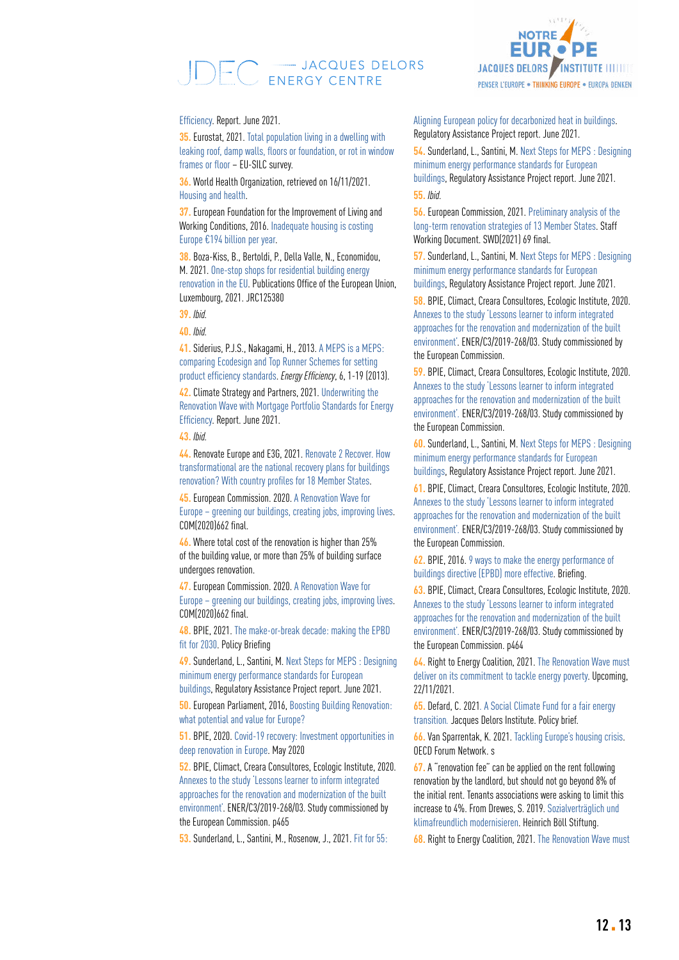## EC = JACQUES DELORS



#### [Efficiency](https://www.climatestrategy.es/press/EPBD_MPS_Embargo_June2021.pdf). Report. June 2021.

**35.** Eurostat, 2021. [Total population living in a dwelling with](https://appsso.eurostat.ec.europa.eu/nui/show.do?dataset=ilc_mdho01&lang=en)  [leaking roof, damp walls, floors or foundation, or rot in window](https://appsso.eurostat.ec.europa.eu/nui/show.do?dataset=ilc_mdho01&lang=en)  [frames or floor](https://appsso.eurostat.ec.europa.eu/nui/show.do?dataset=ilc_mdho01&lang=en) – EU-SILC survey.

**36.** World Health Organization, retrieved on 16/11/2021. [Housing and health](https://www.euro.who.int/en/health-topics/environment-and-health/Housing-and-health/housing-and-health).

**37.** European Foundation for the Improvement of Living and Working Conditions, 2016. [Inadequate housing is costing](https://www.eurofound.europa.eu/is/news/news-articles/inadequate-housing-is-costing-europe-eu194-billion-per-year)  [Europe €194 billion per year](https://www.eurofound.europa.eu/is/news/news-articles/inadequate-housing-is-costing-europe-eu194-billion-per-year).

**38.** Boza-Kiss, B., Bertoldi, P., Della Valle, N., Economidou, M. 2021. [One-stop shops for residential building energy](https://publications-jrc-ec-europa-eu.translate.goog/repository/handle/JRC125380?_x_tr_sl=en&_x_tr_tl=fr&_x_tr_hl=fr&_x_tr_pto=nui,op,sc)  [renovation in the EU](https://publications-jrc-ec-europa-eu.translate.goog/repository/handle/JRC125380?_x_tr_sl=en&_x_tr_tl=fr&_x_tr_hl=fr&_x_tr_pto=nui,op,sc). Publications Office of the European Union, Luxembourg, 2021. JRC125380

**39.** *Ibid.*

**40.** *Ibid.*

**41.** Siderius, P.J.S., Nakagami, H., 2013. [A MEPS is a MEPS:](https://link.springer.com/article/10.1007/s12053-012-9166-6)  [comparing Ecodesign and Top Runner Schemes for setting](https://link.springer.com/article/10.1007/s12053-012-9166-6)  [product efficiency standards](https://link.springer.com/article/10.1007/s12053-012-9166-6). Energy Efficiency, 6, 1-19 (2013).

**42.** Climate Strategy and Partners, 2021. [Underwriting the](https://www.climatestrategy.es/press/EPBD_MPS_Embargo_June2021.pdf)  [Renovation Wave with Mortgage Portfolio Standards for Energy](https://www.climatestrategy.es/press/EPBD_MPS_Embargo_June2021.pdf)  [Efficiency](https://www.climatestrategy.es/press/EPBD_MPS_Embargo_June2021.pdf). Report. June 2021.

#### **43.** *Ibid.*

**44.** Renovate Europe and E3G, 2021. [Renovate 2 Recover. How](https://www.renovate-europe.eu/wp-content/uploads/2018/09/Renovate2Recover_Full-Study-1.pdf)  [transformational are the national recovery plans for buildings](https://www.renovate-europe.eu/wp-content/uploads/2018/09/Renovate2Recover_Full-Study-1.pdf)  [renovation? With country profiles for 18 Member States](https://www.renovate-europe.eu/wp-content/uploads/2018/09/Renovate2Recover_Full-Study-1.pdf).

**45.** European Commission. 2020.[A Renovation Wave for](https://eur-lex.europa.eu/legal-content/EN/TXT/?qid=1603122220757&uri=CELEX:52020DC0662)  [Europe – greening our buildings, creating jobs, improving lives.](https://eur-lex.europa.eu/legal-content/EN/TXT/?qid=1603122220757&uri=CELEX:52020DC0662) COM(2020)662 final.

**46.** Where total cost of the renovation is higher than 25% of the building value, or more than 25% of building surface undergoes renovation.

**47.** European Commission. 2020. [A Renovation Wave for](https://eur-lex.europa.eu/legal-content/EN/TXT/?qid=1603122220757&uri=CELEX:52020DC0662)  [Europe – greening our buildings, creating jobs, improving lives.](https://eur-lex.europa.eu/legal-content/EN/TXT/?qid=1603122220757&uri=CELEX:52020DC0662) COM(2020)662 final.

**48.** BPIE, 2021. [The make-or-break decade: making the EPBD](https://www.bpie.eu/wp-content/uploads/2021/08/BPIE_Making-EPBD-fit-for-2030_Final.pdf)  [fit for 2030](https://www.bpie.eu/wp-content/uploads/2021/08/BPIE_Making-EPBD-fit-for-2030_Final.pdf). Policy Briefing

**49.** Sunderland, L., Santini, M. [Next Steps for MEPS : Designing](https://www.raponline.org/knowledge-center/next-steps-for-meps-designing-minimum-energy-performance-standards-for-european-buildings/)  [minimum energy performance standards for European](https://www.raponline.org/knowledge-center/next-steps-for-meps-designing-minimum-energy-performance-standards-for-european-buildings/)  [buildings,](https://www.raponline.org/knowledge-center/next-steps-for-meps-designing-minimum-energy-performance-standards-for-european-buildings/) Regulatory Assistance Project report. June 2021.

**50.** European Parliament, 2016, [Boosting Building Renovation:](https://www.europarl.europa.eu/RegData/etudes/STUD/2016/587326/IPOL_STU(2016)587326_EN.pdf)  [what potential and value for Europe?](https://www.europarl.europa.eu/RegData/etudes/STUD/2016/587326/IPOL_STU(2016)587326_EN.pdf)

**51.** BPIE, 2020. [Covid-19 recovery: Investment opportunities in](https://www.bpie.eu/wp-content/uploads/2020/05/Recovery-investments-in-deep-renovation_BPIE_2020.pdf)  [deep renovation in Europe.](https://www.bpie.eu/wp-content/uploads/2020/05/Recovery-investments-in-deep-renovation_BPIE_2020.pdf) May 2020

**52.** BPIE, Climact, Creara Consultores, Ecologic Institute, 2020. [Annexes to the study 'Lessons learner to inform integrated](C:\Users\defard\Documents\02_Buildings Renovation Wave\02_EPBD\MEPS\Annex https:\op.europa.eu\fr\publication-detail\-\publication\b20fc84d-c418-11eb-a925-01aa75ed71a1\language-en)  [approaches for the renovation and modernization of the built](C:\Users\defard\Documents\02_Buildings Renovation Wave\02_EPBD\MEPS\Annex https:\op.europa.eu\fr\publication-detail\-\publication\b20fc84d-c418-11eb-a925-01aa75ed71a1\language-en)  [environment'](C:\Users\defard\Documents\02_Buildings Renovation Wave\02_EPBD\MEPS\Annex https:\op.europa.eu\fr\publication-detail\-\publication\b20fc84d-c418-11eb-a925-01aa75ed71a1\language-en). ENER/C3/2019-268/03. Study commissioned by the European Commission. p465

**53.** Sunderland, L., Santini, M., Rosenow, J., 2021. [Fit for 55:](https://www.raponline.org/wp-content/uploads/2021/06/rap-ls-ms-jr-balanced-heat-policy-2021-june-14.pdf) 

[Aligning European policy for decarbonized heat in buildings.](https://www.raponline.org/wp-content/uploads/2021/06/rap-ls-ms-jr-balanced-heat-policy-2021-june-14.pdf) Regulatory Assistance Project report. June 2021.

**54.** Sunderland, L., Santini, M. [Next Steps for MEPS : Designing](https://www.raponline.org/knowledge-center/next-steps-for-meps-designing-minimum-energy-performance-standards-for-european-buildings/)  [minimum energy performance standards for European](https://www.raponline.org/knowledge-center/next-steps-for-meps-designing-minimum-energy-performance-standards-for-european-buildings/)  [buildings](https://www.raponline.org/knowledge-center/next-steps-for-meps-designing-minimum-energy-performance-standards-for-european-buildings/), Regulatory Assistance Project report. June 2021. **55.** *Ibid.*

**56.** European Commission, 2021. [Preliminary analysis of the](https://ec.europa.eu/energy/sites/default/files/swd_commission_preliminary_analysis_of_member_state_ltrss.pdf)  [long-term renovation strategies of 13 Member States.](https://ec.europa.eu/energy/sites/default/files/swd_commission_preliminary_analysis_of_member_state_ltrss.pdf) Staff Working Document. SWD(2021) 69 final.

**57.** Sunderland, L., Santini, M. [Next Steps for MEPS : Designing](https://www.raponline.org/knowledge-center/next-steps-for-meps-designing-minimum-energy-performance-standards-for-european-buildings/)  [minimum energy performance standards for European](https://www.raponline.org/knowledge-center/next-steps-for-meps-designing-minimum-energy-performance-standards-for-european-buildings/)  [buildings](https://www.raponline.org/knowledge-center/next-steps-for-meps-designing-minimum-energy-performance-standards-for-european-buildings/), Regulatory Assistance Project report. June 2021.

**58.** BPIE, Climact, Creara Consultores, Ecologic Institute, 2020. [Annexes to the study 'Lessons learner to inform integrated](C:\Users\defard\Documents\02_Buildings Renovation Wave\02_EPBD\MEPS\Annex https:\op.europa.eu\fr\publication-detail\-\publication\b20fc84d-c418-11eb-a925-01aa75ed71a1\language-en)  [approaches for the renovation and modernization of the built](C:\Users\defard\Documents\02_Buildings Renovation Wave\02_EPBD\MEPS\Annex https:\op.europa.eu\fr\publication-detail\-\publication\b20fc84d-c418-11eb-a925-01aa75ed71a1\language-en)  [environment'.](C:\Users\defard\Documents\02_Buildings Renovation Wave\02_EPBD\MEPS\Annex https:\op.europa.eu\fr\publication-detail\-\publication\b20fc84d-c418-11eb-a925-01aa75ed71a1\language-en) ENER/C3/2019-268/03. Study commissioned by the European Commission.

**59.** BPIE, Climact, Creara Consultores, Ecologic Institute, 2020. [Annexes to the study 'Lessons learner to inform integrated](C:\Users\defard\Documents\02_Buildings Renovation Wave\02_EPBD\MEPS\Annex https:\op.europa.eu\fr\publication-detail\-\publication\b20fc84d-c418-11eb-a925-01aa75ed71a1\language-en)  [approaches for the renovation and modernization of the built](C:\Users\defard\Documents\02_Buildings Renovation Wave\02_EPBD\MEPS\Annex https:\op.europa.eu\fr\publication-detail\-\publication\b20fc84d-c418-11eb-a925-01aa75ed71a1\language-en)  [environment'](C:\Users\defard\Documents\02_Buildings Renovation Wave\02_EPBD\MEPS\Annex https:\op.europa.eu\fr\publication-detail\-\publication\b20fc84d-c418-11eb-a925-01aa75ed71a1\language-en)*.* ENER/C3/2019-268/03. Study commissioned by the European Commission.

**60.** Sunderland, L., Santini, M. [Next Steps for MEPS : Designing](https://www.raponline.org/knowledge-center/next-steps-for-meps-designing-minimum-energy-performance-standards-for-european-buildings/)  [minimum energy performance standards for European](https://www.raponline.org/knowledge-center/next-steps-for-meps-designing-minimum-energy-performance-standards-for-european-buildings/)  [buildings](https://www.raponline.org/knowledge-center/next-steps-for-meps-designing-minimum-energy-performance-standards-for-european-buildings/), Regulatory Assistance Project report. June 2021.

**61.** BPIE, Climact, Creara Consultores, Ecologic Institute, 2020. [Annexes to the study 'Lessons learner to inform integrated](C:\Users\defard\Documents\02_Buildings Renovation Wave\02_EPBD\MEPS\Annex https:\op.europa.eu\fr\publication-detail\-\publication\b20fc84d-c418-11eb-a925-01aa75ed71a1\language-en)  [approaches for the renovation and modernization of the built](C:\Users\defard\Documents\02_Buildings Renovation Wave\02_EPBD\MEPS\Annex https:\op.europa.eu\fr\publication-detail\-\publication\b20fc84d-c418-11eb-a925-01aa75ed71a1\language-en)  [environment'](C:\Users\defard\Documents\02_Buildings Renovation Wave\02_EPBD\MEPS\Annex https:\op.europa.eu\fr\publication-detail\-\publication\b20fc84d-c418-11eb-a925-01aa75ed71a1\language-en)*.* ENER/C3/2019-268/03. Study commissioned by the European Commission.

**62.** BPIE, 2016. [9 ways to make the energy performance of](https://www.bpie.eu/wp-content/uploads/2016/08/EPBD-paper_Eng.pdf)  [buildings directive \(EPBD\) more effective](https://www.bpie.eu/wp-content/uploads/2016/08/EPBD-paper_Eng.pdf). Briefing.

**63.** BPIE, Climact, Creara Consultores, Ecologic Institute, 2020. [Annexes to the study 'Lessons learner to inform integrated](file:C:\Users\defard\Documents\02_Buildings%20Renovation%20Wave\02_EPBD\MEPS\Annex%20https:\op.europa.eu\fr\publication-detail\-\publication\b20fc84d-c418-11eb-a925-01aa75ed71a1\language-en)  [approaches for the renovation and modernization of the built](file:C:\Users\defard\Documents\02_Buildings%20Renovation%20Wave\02_EPBD\MEPS\Annex%20https:\op.europa.eu\fr\publication-detail\-\publication\b20fc84d-c418-11eb-a925-01aa75ed71a1\language-en)  [environment'](file:C:\Users\defard\Documents\02_Buildings%20Renovation%20Wave\02_EPBD\MEPS\Annex%20https:\op.europa.eu\fr\publication-detail\-\publication\b20fc84d-c418-11eb-a925-01aa75ed71a1\language-en)*.* ENER/C3/2019-268/03. Study commissioned by the European Commission. p464

**64.** Right to Energy Coalition, 2021. T[he Renovation Wave must](https://righttoenergy.org/

)  [deliver on its commitment to tackle energy poverty](https://righttoenergy.org/

). Upcoming, 22/11/2021.

**65.** Defard, C. 2021*.* [A Social Climate Fund for a fair energy](https://institutdelors.eu/en/publications/a-social-climate-fund/)  [transition](https://institutdelors.eu/en/publications/a-social-climate-fund/)*.* Jacques Delors Institute. Policy brief.

**66.** Van Sparrentak, K. 2021. [Tackling Europe's housing crisis](https://www.oecd-forum.org/posts/tackling-europe-s-housing-crisis). OECD Forum Network. s

**67.** A "renovation fee" can be applied on the rent following renovation by the landlord, but should not go beyond 8% of the initial rent. Tenants associations were asking to limit this increase to 4%. From Drewes, S. 2019. [Sozialverträglich und](https://www.boell.de/de/2019/04/08/gegen-mietenwahnsinn-sozialvertraeglich-und-klimafreundlich-modernisieren)  [klimafreundlich modernisieren.](https://www.boell.de/de/2019/04/08/gegen-mietenwahnsinn-sozialvertraeglich-und-klimafreundlich-modernisieren) Heinrich Böll Stiftung.

**68.** Right to Energy Coalition, 2021. T[he Renovation Wave must](https://righttoenergy.org/)